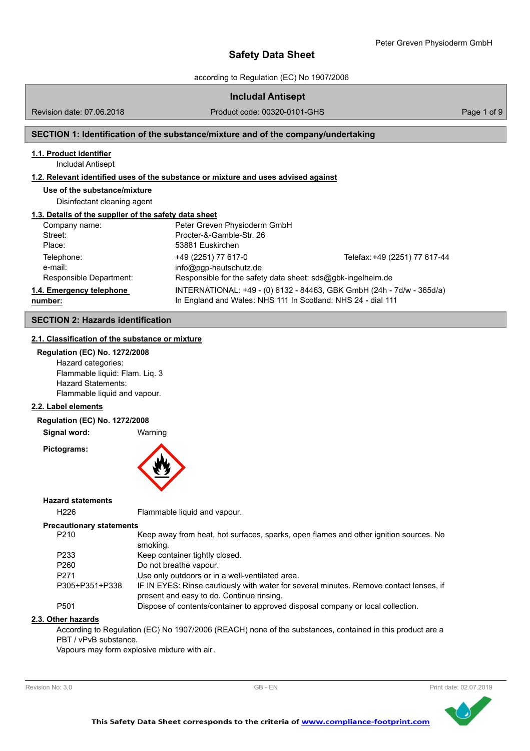according to Regulation (EC) No 1907/2006

| <b>Includal Antisept</b> |  |
|--------------------------|--|
|--------------------------|--|

Revision date: 07.06.2018

Product code: 00320-0101-GHS Product code: 00320-0101-GHS

# **SECTION 1: Identification of the substance/mixture and of the company/undertaking**

# **1.1. Product identifier**

Includal Antisept

## **1.2. Relevant identified uses of the substance or mixture and uses advised against**

**Use of the substance/mixture** Disinfectant cleaning agent

#### **1.3. Details of the supplier of the safety data sheet**

| Company name:            | Peter Greven Physioderm GmbH                                 |                                                                       |
|--------------------------|--------------------------------------------------------------|-----------------------------------------------------------------------|
| Street:                  | Procter-&-Gamble-Str. 26                                     |                                                                       |
| Place:                   | 53881 Euskirchen                                             |                                                                       |
| Telephone:               | +49 (2251) 77 617-0                                          | Telefax: +49 (2251) 77 617-44                                         |
| e-mail:                  | $info@pqp-hautschutz.de$                                     |                                                                       |
| Responsible Department:  | Responsible for the safety data sheet: sds@gbk-ingelheim.de  |                                                                       |
| 1.4. Emergency telephone |                                                              | INTERNATIONAL: +49 - (0) 6132 - 84463, GBK GmbH (24h - 7d/w - 365d/a) |
| number:                  | In England and Wales: NHS 111 In Scotland: NHS 24 - dial 111 |                                                                       |

# **SECTION 2: Hazards identification**

## **2.1. Classification of the substance or mixture**

#### **Regulation (EC) No. 1272/2008**

Hazard categories: Flammable liquid: Flam. Liq. 3 Hazard Statements: Flammable liquid and vapour.

# **2.2. Label elements**

**Regulation (EC) No. 1272/2008**

**Signal word:** Warning

**Pictograms:**



#### **Hazard statements**

H226 Flammable liquid and vapour.

#### **Precautionary statements**

| P <sub>210</sub> | Keep away from heat, hot surfaces, sparks, open flames and other ignition sources. No                                               |
|------------------|-------------------------------------------------------------------------------------------------------------------------------------|
|                  | smoking.                                                                                                                            |
| P <sub>233</sub> | Keep container tightly closed.                                                                                                      |
| P <sub>260</sub> | Do not breathe vapour.                                                                                                              |
| P <sub>271</sub> | Use only outdoors or in a well-ventilated area.                                                                                     |
| P305+P351+P338   | IF IN EYES: Rinse cautiously with water for several minutes. Remove contact lenses, if<br>present and easy to do. Continue rinsing. |
| P <sub>501</sub> | Dispose of contents/container to approved disposal company or local collection.                                                     |

# **2.3. Other hazards**

According to Regulation (EC) No 1907/2006 (REACH) none of the substances, contained in this product are a PBT / vPvB substance.

Vapours may form explosive mixture with air.



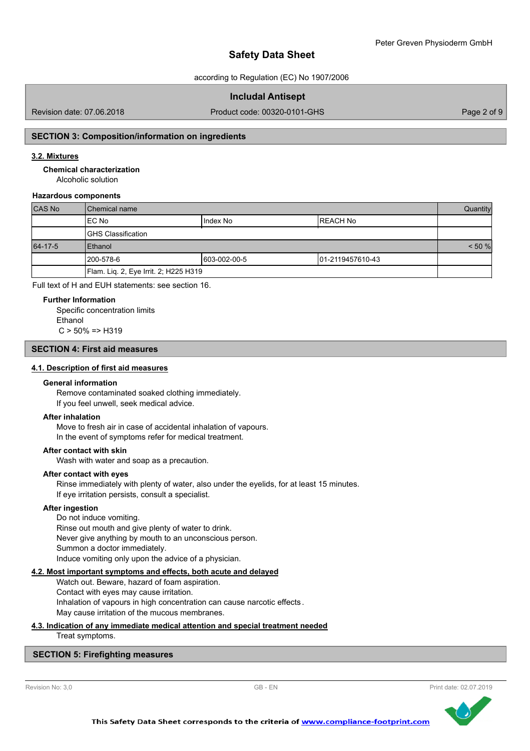according to Regulation (EC) No 1907/2006

## **Includal Antisept**

Revision date: 07.06.2018

Product code: 00320-0101-GHS Product code: 00320-0101-GHS

# **SECTION 3: Composition/information on ingredients**

# **3.2. Mixtures**

**Chemical characterization**

Alcoholic solution

## **Hazardous components**

| CAS No  | l Chemical name                                 |           | Quantity  |  |
|---------|-------------------------------------------------|-----------|-----------|--|
|         | IEC No                                          | Ilndex No | IREACH No |  |
|         | <b>IGHS Classification</b>                      |           |           |  |
| 64-17-5 | Ethanol                                         |           | < 50 %    |  |
|         | 1200-578-6<br>603-002-00-5<br>101-2119457610-43 |           |           |  |
|         | Flam. Liq. 2, Eye Irrit. 2; H225 H319           |           |           |  |

Full text of H and EUH statements: see section 16.

#### **Further Information**

Specific concentration limits Ethanol  $C > 50\% = > H319$ 

# **SECTION 4: First aid measures**

#### **4.1. Description of first aid measures**

#### **General information**

Remove contaminated soaked clothing immediately. If you feel unwell, seek medical advice.

#### **After inhalation**

Move to fresh air in case of accidental inhalation of vapours. In the event of symptoms refer for medical treatment.

#### **After contact with skin**

Wash with water and soap as a precaution.

### **After contact with eyes**

Rinse immediately with plenty of water, also under the eyelids, for at least 15 minutes. If eye irritation persists, consult a specialist.

### **After ingestion**

Do not induce vomiting. Rinse out mouth and give plenty of water to drink. Never give anything by mouth to an unconscious person. Summon a doctor immediately. Induce vomiting only upon the advice of a physician.

#### **4.2. Most important symptoms and effects, both acute and delayed**

Watch out. Beware, hazard of foam aspiration. Contact with eyes may cause irritation. Inhalation of vapours in high concentration can cause narcotic effects . May cause irritation of the mucous membranes.

#### **4.3. Indication of any immediate medical attention and special treatment needed** Treat symptoms.

# **SECTION 5: Firefighting measures**

Revision No: 3.0 **CB - EN** GB - EN Print date: 02.07.2019

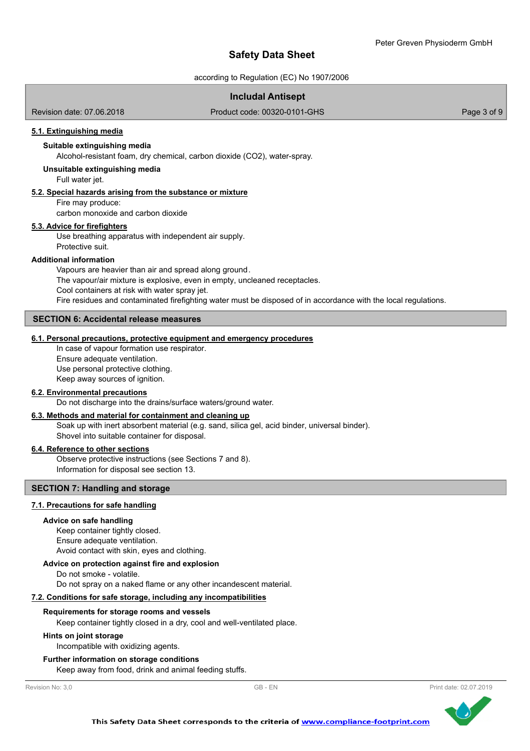according to Regulation (EC) No 1907/2006

# **Includal Antisept**

Revision date: 07.06.2018

Product code: 00320-0101-GHS Product code: 00320-0101-GHS

# **5.1. Extinguishing media**

# **Suitable extinguishing media**

Alcohol-resistant foam, dry chemical, carbon dioxide (CO2), water-spray.

### **Unsuitable extinguishing media**

Full water jet.

## **5.2. Special hazards arising from the substance or mixture**

Fire may produce:

carbon monoxide and carbon dioxide

# **5.3. Advice for firefighters**

Use breathing apparatus with independent air supply. Protective suit.

#### **Additional information**

Vapours are heavier than air and spread along ground. The vapour/air mixture is explosive, even in empty, uncleaned receptacles. Cool containers at risk with water spray jet. Fire residues and contaminated firefighting water must be disposed of in accordance with the local regulations.

## **SECTION 6: Accidental release measures**

# **6.1. Personal precautions, protective equipment and emergency procedures**

In case of vapour formation use respirator. Ensure adequate ventilation. Use personal protective clothing. Keep away sources of ignition.

#### **6.2. Environmental precautions**

Do not discharge into the drains/surface waters/ground water.

## **6.3. Methods and material for containment and cleaning up**

Soak up with inert absorbent material (e.g. sand, silica gel, acid binder, universal binder). Shovel into suitable container for disposal.

#### **6.4. Reference to other sections**

Observe protective instructions (see Sections 7 and 8). Information for disposal see section 13.

### **SECTION 7: Handling and storage**

## **7.1. Precautions for safe handling**

#### **Advice on safe handling**

Keep container tightly closed. Ensure adequate ventilation. Avoid contact with skin, eyes and clothing.

## **Advice on protection against fire and explosion**

Do not smoke - volatile.

Do not spray on a naked flame or any other incandescent material.

#### **7.2. Conditions for safe storage, including any incompatibilities**

#### **Requirements for storage rooms and vessels**

Keep container tightly closed in a dry, cool and well-ventilated place.

#### **Hints on joint storage**

Incompatible with oxidizing agents.

#### **Further information on storage conditions**

Keep away from food, drink and animal feeding stuffs.

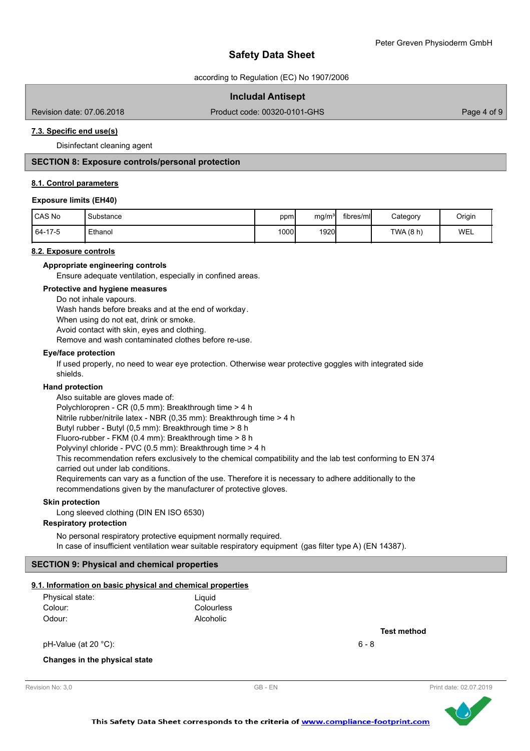according to Regulation (EC) No 1907/2006

# **Includal Antisept**

Revision date: 07.06.2018

Product code: 00320-0101-GHS Product code: 00320-0101-GHS

# **7.3. Specific end use(s)**

Disinfectant cleaning agent

## **SECTION 8: Exposure controls/personal protection**

## **8.1. Control parameters**

## **Exposure limits (EH40)**

| l CAS No | 'Substance | ppm  | mg/m <sup>3</sup> | fibres/mll | Category | Origin |
|----------|------------|------|-------------------|------------|----------|--------|
| 64-17-5  | Ethanol    | 1000 | 1920              |            | TWA(8 h) | WEL    |

## **8.2. Exposure controls**

**Appropriate engineering controls**

Ensure adequate ventilation, especially in confined areas.

## **Protective and hygiene measures**

Do not inhale vapours.

Wash hands before breaks and at the end of workday.

When using do not eat, drink or smoke.

Avoid contact with skin, eyes and clothing.

Remove and wash contaminated clothes before re-use.

#### **Eye/face protection**

If used properly, no need to wear eye protection. Otherwise wear protective goggles with integrated side shields.

### **Hand protection**

Also suitable are gloves made of: Polychloropren - CR (0,5 mm): Breakthrough time > 4 h Nitrile rubber/nitrile latex - NBR (0,35 mm): Breakthrough time > 4 h Butyl rubber - Butyl (0,5 mm): Breakthrough time > 8 h Fluoro-rubber - FKM (0.4 mm): Breakthrough time > 8 h Polyvinyl chloride - PVC (0.5 mm): Breakthrough time > 4 h This recommendation refers exclusively to the chemical compatibility and the lab test conforming to EN 374 carried out under lab conditions. Requirements can vary as a function of the use. Therefore it is necessary to adhere additionally to the recommendations given by the manufacturer of protective gloves.

#### **Skin protection**

Long sleeved clothing (DIN EN ISO 6530)

## **Respiratory protection**

No personal respiratory protective equipment normally required. In case of insufficient ventilation wear suitable respiratory equipment (gas filter type A) (EN 14387).

## **SECTION 9: Physical and chemical properties**

#### **9.1. Information on basic physical and chemical properties**

| Physical state: | Liauid     |
|-----------------|------------|
| Colour:         | Colourless |
| Odour:          | Alcoholic  |

 $pH-Value (at 20 °C):$  6 - 8

**Test method**

### **Changes in the physical state**



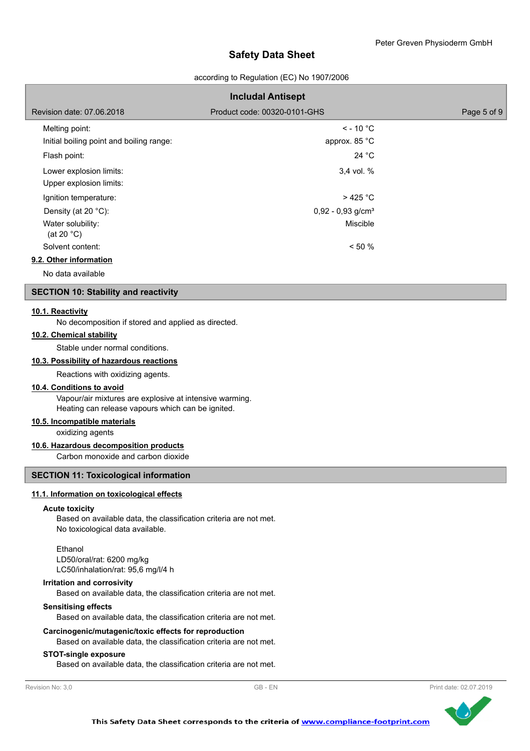according to Regulation (EC) No 1907/2006

|                                                            | <b>Includal Antisept</b>        |             |
|------------------------------------------------------------|---------------------------------|-------------|
| Revision date: 07.06.2018                                  | Product code: 00320-0101-GHS    | Page 5 of 9 |
| Melting point:<br>Initial boiling point and boiling range: | $\le$ - 10 °C<br>approx. 85 °C  |             |
| Flash point:                                               | 24 $^{\circ}$ C                 |             |
| Lower explosion limits:<br>Upper explosion limits:         | 3.4 vol. %                      |             |
| Ignition temperature:                                      | $>425$ °C                       |             |
| Density (at 20 $°C$ ):                                     | $0,92 - 0,93$ g/cm <sup>3</sup> |             |
| Water solubility:<br>(at 20 $°C$ )                         | Miscible                        |             |
| Solvent content:                                           | $< 50 \%$                       |             |
| 9.2. Other information                                     |                                 |             |

No data available

# **SECTION 10: Stability and reactivity**

### **10.1. Reactivity**

No decomposition if stored and applied as directed.

## **10.2. Chemical stability**

Stable under normal conditions.

#### **10.3. Possibility of hazardous reactions**

Reactions with oxidizing agents.

### **10.4. Conditions to avoid**

Vapour/air mixtures are explosive at intensive warming. Heating can release vapours which can be ignited.

# **10.5. Incompatible materials**

oxidizing agents

# **10.6. Hazardous decomposition products**

Carbon monoxide and carbon dioxide

# **SECTION 11: Toxicological information**

### **11.1. Information on toxicological effects**

## **Acute toxicity**

Based on available data, the classification criteria are not met. No toxicological data available.

#### Ethanol

LD50/oral/rat: 6200 mg/kg LC50/inhalation/rat: 95,6 mg/l/4 h

#### **Irritation and corrosivity**

Based on available data, the classification criteria are not met.

#### **Sensitising effects**

Based on available data, the classification criteria are not met.

## **Carcinogenic/mutagenic/toxic effects for reproduction**

Based on available data, the classification criteria are not met.

#### **STOT-single exposure**

Based on available data, the classification criteria are not met.



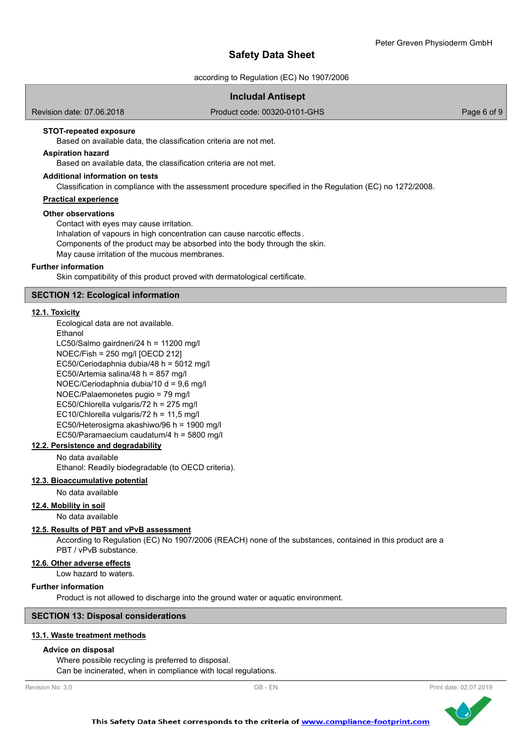according to Regulation (EC) No 1907/2006

# **Includal Antisept**

Revision date: 07.06.2018

Product code: 00320-0101-GHS Product code: 00320-0101-GHS

# **STOT-repeated exposure**

Based on available data, the classification criteria are not met.

## **Aspiration hazard**

Based on available data, the classification criteria are not met.

### **Additional information on tests**

Classification in compliance with the assessment procedure specified in the Regulation (EC) no 1272/2008.

# **Practical experience**

#### **Other observations**

Contact with eyes may cause irritation. Inhalation of vapours in high concentration can cause narcotic effects .

Components of the product may be absorbed into the body through the skin.

May cause irritation of the mucous membranes.

#### **Further information**

Skin compatibility of this product proved with dermatological certificate.

### **SECTION 12: Ecological information**

#### **12.1. Toxicity**

Ecological data are not available.

Ethanol LC50/Salmo gairdneri/24 h = 11200 mg/l NOEC/Fish = 250 mg/l [OECD 212] EC50/Ceriodaphnia dubia/48 h = 5012 mg/l EC50/Artemia salina/48 h = 857 mg/l NOEC/Ceriodaphnia dubia/10 d = 9,6 mg/l NOEC/Palaemonetes pugio = 79 mg/l EC50/Chlorella vulgaris/72 h = 275 mg/l EC10/Chlorella vulgaris/72 h = 11,5 mg/l EC50/Heterosigma akashiwo/96 h = 1900 mg/l EC50/Paramaecium caudatum/4 h = 5800 mg/l

# **12.2. Persistence and degradability**

No data available

Ethanol: Readily biodegradable (to OECD criteria).

### **12.3. Bioaccumulative potential**

No data available

### **12.4. Mobility in soil**

No data available

#### **12.5. Results of PBT and vPvB assessment**

According to Regulation (EC) No 1907/2006 (REACH) none of the substances, contained in this product are a PBT / vPvB substance.

**12.6. Other adverse effects**

Low hazard to waters.

#### **Further information**

Product is not allowed to discharge into the ground water or aquatic environment.

### **SECTION 13: Disposal considerations**

#### **13.1. Waste treatment methods**

## **Advice on disposal**

Where possible recycling is preferred to disposal. Can be incinerated, when in compliance with local regulations.

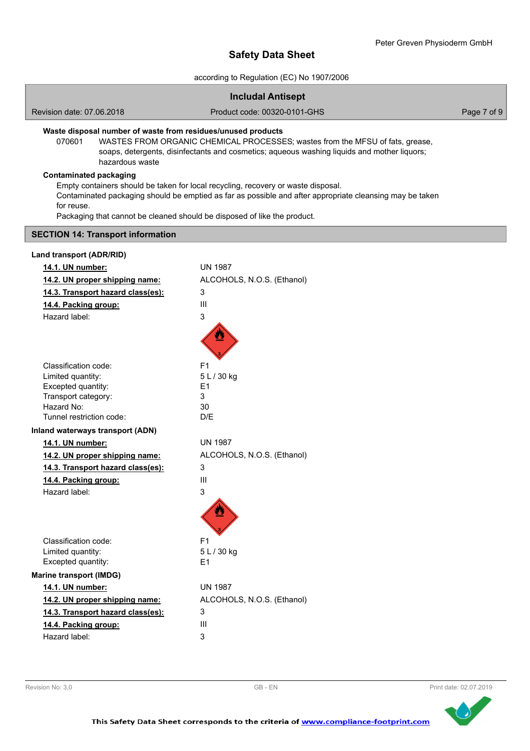according to Regulation (EC) No 1907/2006

|                                                                                                                         | <b>Includal Antisept</b>                                                                                                                                                                      |             |
|-------------------------------------------------------------------------------------------------------------------------|-----------------------------------------------------------------------------------------------------------------------------------------------------------------------------------------------|-------------|
| Revision date: 07.06.2018                                                                                               | Product code: 00320-0101-GHS                                                                                                                                                                  | Page 7 of 9 |
| Waste disposal number of waste from residues/unused products<br>070601<br>hazardous waste                               | WASTES FROM ORGANIC CHEMICAL PROCESSES; wastes from the MFSU of fats, grease,<br>soaps, detergents, disinfectants and cosmetics; aqueous washing liquids and mother liquors;                  |             |
| <b>Contaminated packaging</b><br>for reuse.<br>Packaging that cannot be cleaned should be disposed of like the product. | Empty containers should be taken for local recycling, recovery or waste disposal.<br>Contaminated packaging should be emptied as far as possible and after appropriate cleansing may be taken |             |
| <b>SECTION 14: Transport information</b>                                                                                |                                                                                                                                                                                               |             |
| Land transport (ADR/RID)                                                                                                |                                                                                                                                                                                               |             |
| 14.1. UN number:                                                                                                        | <b>UN 1987</b>                                                                                                                                                                                |             |
| 14.2. UN proper shipping name:                                                                                          | ALCOHOLS, N.O.S. (Ethanol)                                                                                                                                                                    |             |
| 14.3. Transport hazard class(es):                                                                                       | 3                                                                                                                                                                                             |             |
| 14.4. Packing group:                                                                                                    | Ш                                                                                                                                                                                             |             |
| Hazard label:                                                                                                           | 3                                                                                                                                                                                             |             |
| Classification code:                                                                                                    | F <sub>1</sub>                                                                                                                                                                                |             |
| Limited quantity:                                                                                                       | 5 L / 30 kg                                                                                                                                                                                   |             |
| Excepted quantity:                                                                                                      | E <sub>1</sub>                                                                                                                                                                                |             |
| Transport category:                                                                                                     | 3                                                                                                                                                                                             |             |
| Hazard No:<br>Tunnel restriction code:                                                                                  | 30<br>D/E                                                                                                                                                                                     |             |
| Inland waterways transport (ADN)                                                                                        |                                                                                                                                                                                               |             |
| 14.1. UN number:                                                                                                        | <b>UN 1987</b>                                                                                                                                                                                |             |
| 14.2. UN proper shipping name:                                                                                          | ALCOHOLS, N.O.S. (Ethanol)                                                                                                                                                                    |             |
| 14.3. Transport hazard class(es):                                                                                       | 3                                                                                                                                                                                             |             |
| 14.4. Packing group:                                                                                                    | Ш                                                                                                                                                                                             |             |
| Hazard label:                                                                                                           | 3                                                                                                                                                                                             |             |
|                                                                                                                         |                                                                                                                                                                                               |             |
| Classification code:                                                                                                    | F1                                                                                                                                                                                            |             |
| Limited quantity:                                                                                                       | 5L/30 kg                                                                                                                                                                                      |             |
| Excepted quantity:                                                                                                      | E1                                                                                                                                                                                            |             |
| <b>Marine transport (IMDG)</b>                                                                                          |                                                                                                                                                                                               |             |
| 14.1. UN number:                                                                                                        | <b>UN 1987</b>                                                                                                                                                                                |             |
| 14.2. UN proper shipping name:                                                                                          | ALCOHOLS, N.O.S. (Ethanol)                                                                                                                                                                    |             |
| 14.3. Transport hazard class(es):                                                                                       | 3<br>Ш                                                                                                                                                                                        |             |
| 14.4. Packing group:<br>Hazard label:                                                                                   | 3                                                                                                                                                                                             |             |
|                                                                                                                         |                                                                                                                                                                                               |             |



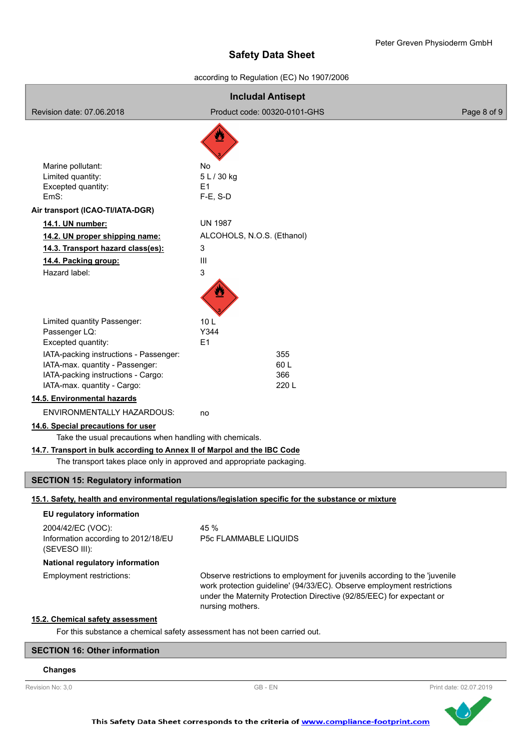according to Regulation (EC) No 1907/2006

| <b>Includal Antisept</b>                                                                                                                                             |                                                             |                                                                                                                                                                                                                               |             |
|----------------------------------------------------------------------------------------------------------------------------------------------------------------------|-------------------------------------------------------------|-------------------------------------------------------------------------------------------------------------------------------------------------------------------------------------------------------------------------------|-------------|
| Revision date: 07.06.2018                                                                                                                                            | Product code: 00320-0101-GHS                                |                                                                                                                                                                                                                               | Page 8 of 9 |
|                                                                                                                                                                      |                                                             |                                                                                                                                                                                                                               |             |
| Marine pollutant:<br>Limited quantity:<br>Excepted quantity:<br>EmS:                                                                                                 | No<br>5 L / 30 kg<br>E1<br>$F-E$ , S-D                      |                                                                                                                                                                                                                               |             |
| Air transport (ICAO-TI/IATA-DGR)                                                                                                                                     |                                                             |                                                                                                                                                                                                                               |             |
| 14.1. UN number:<br>14.2. UN proper shipping name:<br>14.3. Transport hazard class(es):<br>14.4. Packing group:<br>Hazard label:                                     | <b>UN 1987</b><br>ALCOHOLS, N.O.S. (Ethanol)<br>3<br>Ш<br>3 |                                                                                                                                                                                                                               |             |
| Limited quantity Passenger:                                                                                                                                          | 10 <sub>L</sub>                                             |                                                                                                                                                                                                                               |             |
| Passenger LQ:                                                                                                                                                        | Y344                                                        |                                                                                                                                                                                                                               |             |
| Excepted quantity:<br>IATA-packing instructions - Passenger:<br>IATA-max. quantity - Passenger:<br>IATA-packing instructions - Cargo:<br>IATA-max. quantity - Cargo: | E1                                                          | 355<br>60L<br>366<br>220L                                                                                                                                                                                                     |             |
| 14.5. Environmental hazards                                                                                                                                          |                                                             |                                                                                                                                                                                                                               |             |
| ENVIRONMENTALLY HAZARDOUS:                                                                                                                                           | no                                                          |                                                                                                                                                                                                                               |             |
| 14.6. Special precautions for user<br>Take the usual precautions when handling with chemicals.                                                                       |                                                             |                                                                                                                                                                                                                               |             |
| 14.7. Transport in bulk according to Annex II of Marpol and the IBC Code<br>The transport takes place only in approved and appropriate packaging.                    |                                                             |                                                                                                                                                                                                                               |             |
| <b>SECTION 15: Regulatory information</b>                                                                                                                            |                                                             |                                                                                                                                                                                                                               |             |
| 15.1. Safety, health and environmental regulations/legislation specific for the substance or mixture                                                                 |                                                             |                                                                                                                                                                                                                               |             |
| EU regulatory information                                                                                                                                            |                                                             |                                                                                                                                                                                                                               |             |
| 2004/42/EC (VOC):<br>Information according to 2012/18/EU<br>(SEVESO III):                                                                                            | 45 %<br>P5c FLAMMABLE LIQUIDS                               |                                                                                                                                                                                                                               |             |
| National regulatory information                                                                                                                                      |                                                             |                                                                                                                                                                                                                               |             |
| Employment restrictions:                                                                                                                                             | nursing mothers.                                            | Observe restrictions to employment for juvenils according to the 'juvenile<br>work protection guideline' (94/33/EC). Observe employment restrictions<br>under the Maternity Protection Directive (92/85/EEC) for expectant or |             |
| 15.2. Chemical safety assessment<br>For this substance a chemical safety assessment has not been carried out.                                                        |                                                             |                                                                                                                                                                                                                               |             |
| <b>SECTION 16: Other information</b>                                                                                                                                 |                                                             |                                                                                                                                                                                                                               |             |

# **Changes**

Revision No: 3,0 **CB - EN** Revision No: 3,0 **Print date: 02.07.2019**